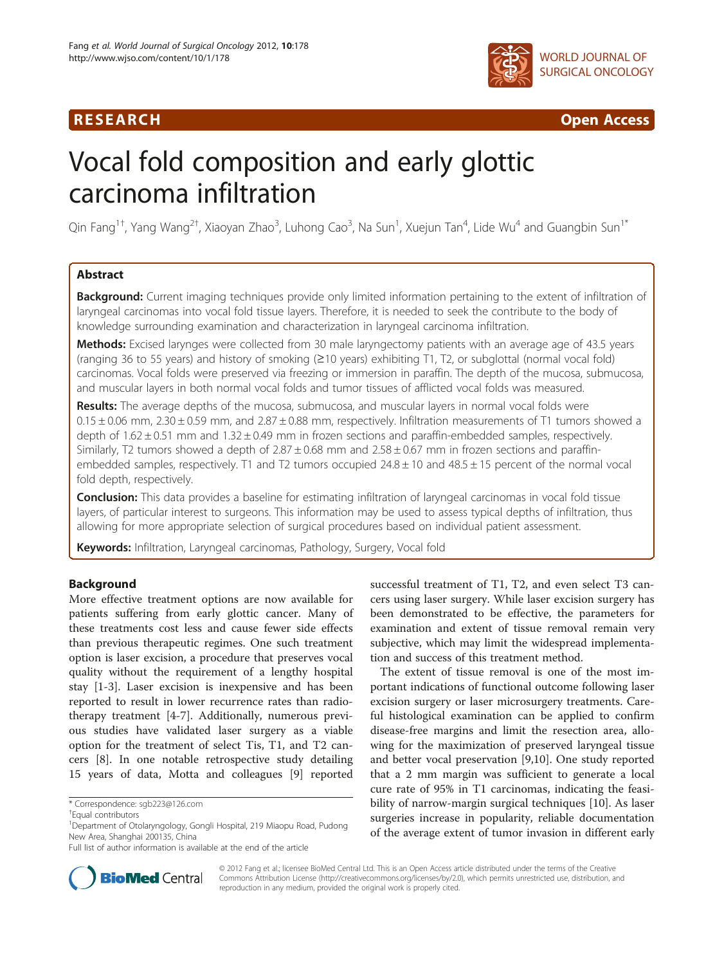# R E S EAR CH Open Access



# Vocal fold composition and early glottic carcinoma infiltration

Qin Fang<sup>1†</sup>, Yang Wang<sup>2†</sup>, Xiaoyan Zhao<sup>3</sup>, Luhong Cao<sup>3</sup>, Na Sun<sup>1</sup>, Xuejun Tan<sup>4</sup>, Lide Wu<sup>4</sup> and Guangbin Sun<sup>1\*</sup>

# Abstract

Background: Current imaging techniques provide only limited information pertaining to the extent of infiltration of laryngeal carcinomas into vocal fold tissue layers. Therefore, it is needed to seek the contribute to the body of knowledge surrounding examination and characterization in laryngeal carcinoma infiltration.

Methods: Excised larynges were collected from 30 male laryngectomy patients with an average age of 43.5 years (ranging 36 to 55 years) and history of smoking (≥10 years) exhibiting T1, T2, or subglottal (normal vocal fold) carcinomas. Vocal folds were preserved via freezing or immersion in paraffin. The depth of the mucosa, submucosa, and muscular layers in both normal vocal folds and tumor tissues of afflicted vocal folds was measured.

Results: The average depths of the mucosa, submucosa, and muscular layers in normal vocal folds were  $0.15 \pm 0.06$  mm, 2.30  $\pm$  0.59 mm, and 2.87  $\pm$  0.88 mm, respectively. Infiltration measurements of T1 tumors showed a depth of  $1.62 \pm 0.51$  mm and  $1.32 \pm 0.49$  mm in frozen sections and paraffin-embedded samples, respectively. Similarly, T2 tumors showed a depth of  $2.87 \pm 0.68$  mm and  $2.58 \pm 0.67$  mm in frozen sections and paraffinembedded samples, respectively. T1 and T2 tumors occupied  $24.8 \pm 10$  and  $48.5 \pm 15$  percent of the normal vocal fold depth, respectively.

**Conclusion:** This data provides a baseline for estimating infiltration of laryngeal carcinomas in vocal fold tissue layers, of particular interest to surgeons. This information may be used to assess typical depths of infiltration, thus allowing for more appropriate selection of surgical procedures based on individual patient assessment.

Keywords: Infiltration, Laryngeal carcinomas, Pathology, Surgery, Vocal fold

# Background

More effective treatment options are now available for patients suffering from early glottic cancer. Many of these treatments cost less and cause fewer side effects than previous therapeutic regimes. One such treatment option is laser excision, a procedure that preserves vocal quality without the requirement of a lengthy hospital stay [[1-3\]](#page-5-0). Laser excision is inexpensive and has been reported to result in lower recurrence rates than radiotherapy treatment [[4-7](#page-5-0)]. Additionally, numerous previous studies have validated laser surgery as a viable option for the treatment of select Tis, T1, and T2 cancers [[8\]](#page-5-0). In one notable retrospective study detailing 15 years of data, Motta and colleagues [[9\]](#page-5-0) reported

successful treatment of T1, T2, and even select T3 cancers using laser surgery. While laser excision surgery has been demonstrated to be effective, the parameters for examination and extent of tissue removal remain very subjective, which may limit the widespread implementation and success of this treatment method.

The extent of tissue removal is one of the most important indications of functional outcome following laser excision surgery or laser microsurgery treatments. Careful histological examination can be applied to confirm disease-free margins and limit the resection area, allowing for the maximization of preserved laryngeal tissue and better vocal preservation [\[9,10](#page-5-0)]. One study reported that a 2 mm margin was sufficient to generate a local cure rate of 95% in T1 carcinomas, indicating the feasibility of narrow-margin surgical techniques [[10\]](#page-5-0). As laser surgeries increase in popularity, reliable documentation of the average extent of tumor invasion in different early



© 2012 Fang et al.; licensee BioMed Central Ltd. This is an Open Access article distributed under the terms of the Creative Commons Attribution License [\(http://creativecommons.org/licenses/by/2.0\)](http://creativecommons.org/licenses/by/2.0), which permits unrestricted use, distribution, and reproduction in any medium, provided the original work is properly cited.

<sup>\*</sup> Correspondence: [sgb223@126.com](mailto:sgb223@126.com) †

Equal contributors

<sup>&</sup>lt;sup>1</sup>Department of Otolaryngology, Gongli Hospital, 219 Miaopu Road, Pudong New Area, Shanghai 200135, China

Full list of author information is available at the end of the article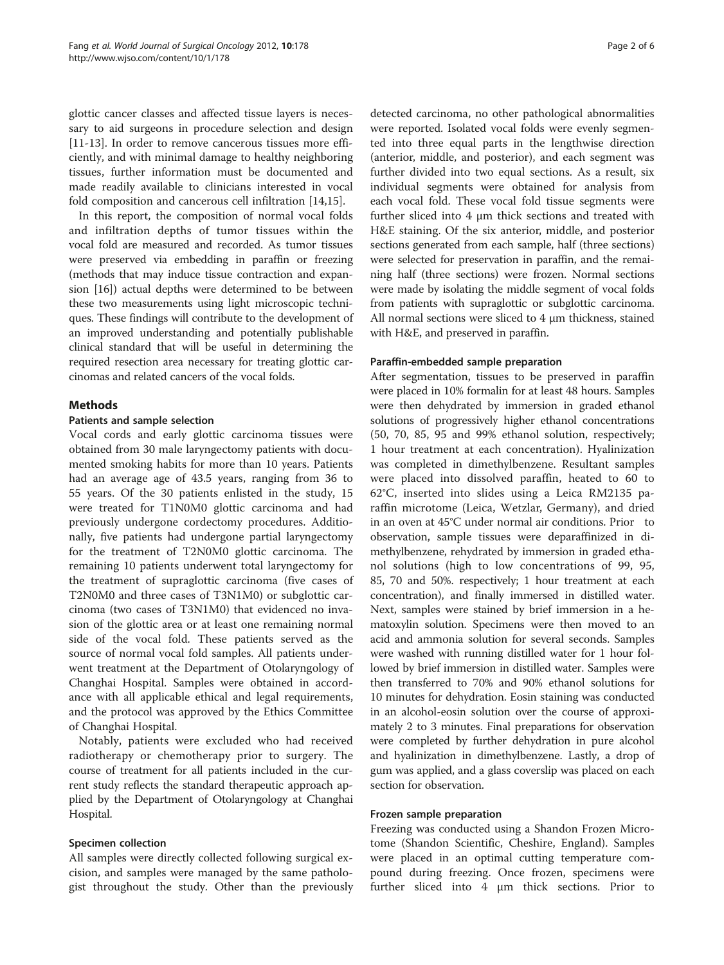glottic cancer classes and affected tissue layers is necessary to aid surgeons in procedure selection and design [[11-13](#page-5-0)]. In order to remove cancerous tissues more efficiently, and with minimal damage to healthy neighboring tissues, further information must be documented and made readily available to clinicians interested in vocal fold composition and cancerous cell infiltration [\[14,15\]](#page-5-0).

In this report, the composition of normal vocal folds and infiltration depths of tumor tissues within the vocal fold are measured and recorded. As tumor tissues were preserved via embedding in paraffin or freezing (methods that may induce tissue contraction and expansion [\[16](#page-5-0)]) actual depths were determined to be between these two measurements using light microscopic techniques. These findings will contribute to the development of an improved understanding and potentially publishable clinical standard that will be useful in determining the required resection area necessary for treating glottic carcinomas and related cancers of the vocal folds.

# Methods

# Patients and sample selection

Vocal cords and early glottic carcinoma tissues were obtained from 30 male laryngectomy patients with documented smoking habits for more than 10 years. Patients had an average age of 43.5 years, ranging from 36 to 55 years. Of the 30 patients enlisted in the study, 15 were treated for T1N0M0 glottic carcinoma and had previously undergone cordectomy procedures. Additionally, five patients had undergone partial laryngectomy for the treatment of T2N0M0 glottic carcinoma. The remaining 10 patients underwent total laryngectomy for the treatment of supraglottic carcinoma (five cases of T2N0M0 and three cases of T3N1M0) or subglottic carcinoma (two cases of T3N1M0) that evidenced no invasion of the glottic area or at least one remaining normal side of the vocal fold. These patients served as the source of normal vocal fold samples. All patients underwent treatment at the Department of Otolaryngology of Changhai Hospital. Samples were obtained in accordance with all applicable ethical and legal requirements, and the protocol was approved by the Ethics Committee of Changhai Hospital.

Notably, patients were excluded who had received radiotherapy or chemotherapy prior to surgery. The course of treatment for all patients included in the current study reflects the standard therapeutic approach applied by the Department of Otolaryngology at Changhai Hospital.

# Specimen collection

All samples were directly collected following surgical excision, and samples were managed by the same pathologist throughout the study. Other than the previously

detected carcinoma, no other pathological abnormalities were reported. Isolated vocal folds were evenly segmented into three equal parts in the lengthwise direction (anterior, middle, and posterior), and each segment was further divided into two equal sections. As a result, six individual segments were obtained for analysis from each vocal fold. These vocal fold tissue segments were further sliced into 4 μm thick sections and treated with H&E staining. Of the six anterior, middle, and posterior sections generated from each sample, half (three sections) were selected for preservation in paraffin, and the remaining half (three sections) were frozen. Normal sections were made by isolating the middle segment of vocal folds from patients with supraglottic or subglottic carcinoma. All normal sections were sliced to 4 μm thickness, stained with H&E, and preserved in paraffin.

# Paraffin-embedded sample preparation

After segmentation, tissues to be preserved in paraffin were placed in 10% formalin for at least 48 hours. Samples were then dehydrated by immersion in graded ethanol solutions of progressively higher ethanol concentrations (50, 70, 85, 95 and 99% ethanol solution, respectively; 1 hour treatment at each concentration). Hyalinization was completed in dimethylbenzene. Resultant samples were placed into dissolved paraffin, heated to 60 to 62°C, inserted into slides using a Leica RM2135 paraffin microtome (Leica, Wetzlar, Germany), and dried in an oven at 45°C under normal air conditions. Prior to observation, sample tissues were deparaffinized in dimethylbenzene, rehydrated by immersion in graded ethanol solutions (high to low concentrations of 99, 95, 85, 70 and 50%. respectively; 1 hour treatment at each concentration), and finally immersed in distilled water. Next, samples were stained by brief immersion in a hematoxylin solution. Specimens were then moved to an acid and ammonia solution for several seconds. Samples were washed with running distilled water for 1 hour followed by brief immersion in distilled water. Samples were then transferred to 70% and 90% ethanol solutions for 10 minutes for dehydration. Eosin staining was conducted in an alcohol-eosin solution over the course of approximately 2 to 3 minutes. Final preparations for observation were completed by further dehydration in pure alcohol and hyalinization in dimethylbenzene. Lastly, a drop of gum was applied, and a glass coverslip was placed on each section for observation.

# Frozen sample preparation

Freezing was conducted using a Shandon Frozen Microtome (Shandon Scientific, Cheshire, England). Samples were placed in an optimal cutting temperature compound during freezing. Once frozen, specimens were further sliced into 4 μm thick sections. Prior to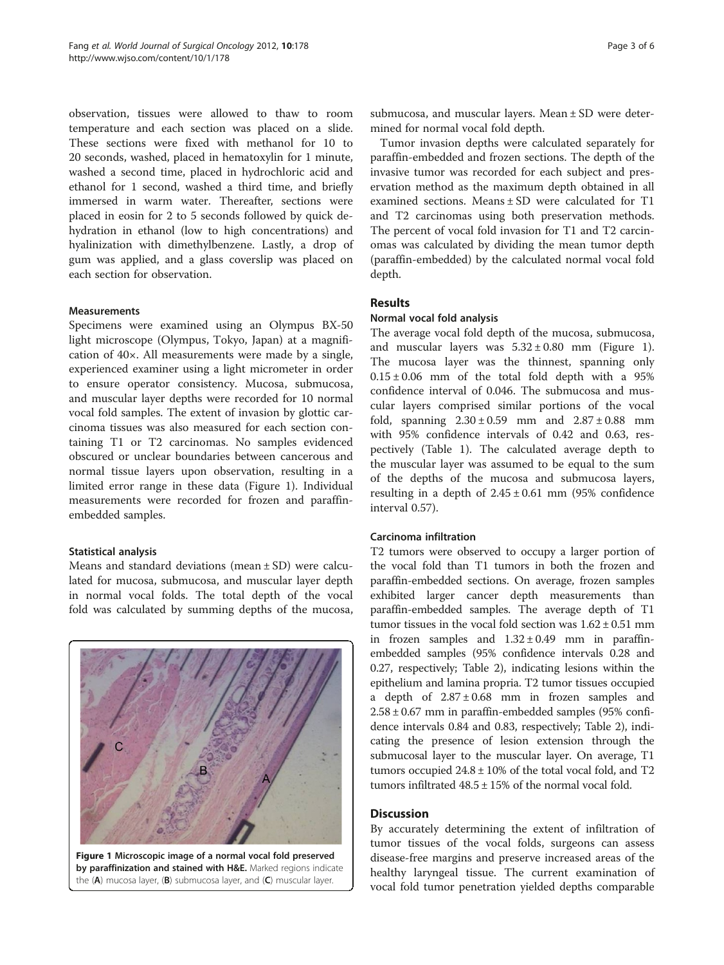observation, tissues were allowed to thaw to room temperature and each section was placed on a slide. These sections were fixed with methanol for 10 to 20 seconds, washed, placed in hematoxylin for 1 minute, washed a second time, placed in hydrochloric acid and ethanol for 1 second, washed a third time, and briefly immersed in warm water. Thereafter, sections were placed in eosin for 2 to 5 seconds followed by quick dehydration in ethanol (low to high concentrations) and hyalinization with dimethylbenzene. Lastly, a drop of gum was applied, and a glass coverslip was placed on each section for observation.

## Measurements

Specimens were examined using an Olympus BX-50 light microscope (Olympus, Tokyo, Japan) at a magnification of 40×. All measurements were made by a single, experienced examiner using a light micrometer in order to ensure operator consistency. Mucosa, submucosa, and muscular layer depths were recorded for 10 normal vocal fold samples. The extent of invasion by glottic carcinoma tissues was also measured for each section containing T1 or T2 carcinomas. No samples evidenced obscured or unclear boundaries between cancerous and normal tissue layers upon observation, resulting in a limited error range in these data (Figure 1). Individual measurements were recorded for frozen and paraffinembedded samples.

#### Statistical analysis

Means and standard deviations (mean ± SD) were calculated for mucosa, submucosa, and muscular layer depth in normal vocal folds. The total depth of the vocal fold was calculated by summing depths of the mucosa,



submucosa, and muscular layers. Mean ± SD were determined for normal vocal fold depth.

Tumor invasion depths were calculated separately for paraffin-embedded and frozen sections. The depth of the invasive tumor was recorded for each subject and preservation method as the maximum depth obtained in all examined sections. Means ± SD were calculated for T1 and T2 carcinomas using both preservation methods. The percent of vocal fold invasion for T1 and T2 carcinomas was calculated by dividing the mean tumor depth (paraffin-embedded) by the calculated normal vocal fold depth.

# Results

#### Normal vocal fold analysis

The average vocal fold depth of the mucosa, submucosa, and muscular layers was  $5.32 \pm 0.80$  mm (Figure 1). The mucosa layer was the thinnest, spanning only  $0.15 \pm 0.06$  mm of the total fold depth with a 95% confidence interval of 0.046. The submucosa and muscular layers comprised similar portions of the vocal fold, spanning  $2.30 \pm 0.59$  mm and  $2.87 \pm 0.88$  mm with 95% confidence intervals of 0.42 and 0.63, respectively (Table [1](#page-3-0)). The calculated average depth to the muscular layer was assumed to be equal to the sum of the depths of the mucosa and submucosa layers, resulting in a depth of  $2.45 \pm 0.61$  mm (95% confidence interval 0.57).

#### Carcinoma infiltration

T2 tumors were observed to occupy a larger portion of the vocal fold than T1 tumors in both the frozen and paraffin-embedded sections. On average, frozen samples exhibited larger cancer depth measurements than paraffin-embedded samples. The average depth of T1 tumor tissues in the vocal fold section was  $1.62 \pm 0.51$  mm in frozen samples and  $1.32 \pm 0.49$  mm in paraffinembedded samples (95% confidence intervals 0.28 and 0.27, respectively; Table [2](#page-3-0)), indicating lesions within the epithelium and lamina propria. T2 tumor tissues occupied a depth of  $2.87 \pm 0.68$  mm in frozen samples and  $2.58 \pm 0.67$  mm in paraffin-embedded samples (95% confidence intervals 0.84 and 0.83, respectively; Table [2](#page-3-0)), indicating the presence of lesion extension through the submucosal layer to the muscular layer. On average, T1 tumors occupied  $24.8 \pm 10\%$  of the total vocal fold, and T2 tumors infiltrated  $48.5 \pm 15\%$  of the normal vocal fold.

### **Discussion**

By accurately determining the extent of infiltration of tumor tissues of the vocal folds, surgeons can assess disease-free margins and preserve increased areas of the healthy laryngeal tissue. The current examination of vocal fold tumor penetration yielded depths comparable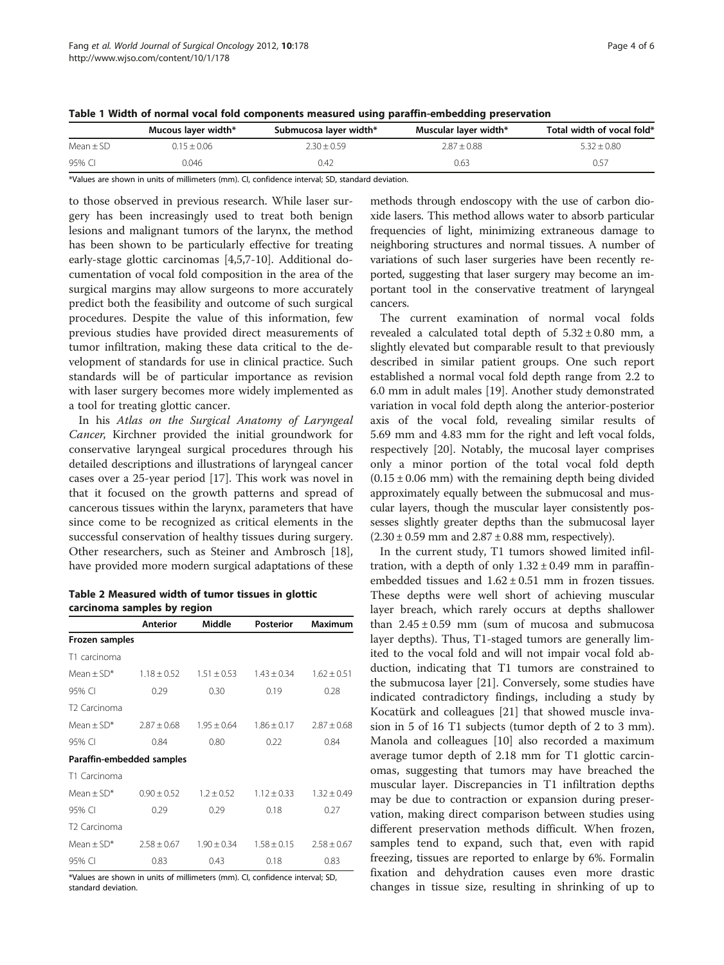| Page 4 of 6 |  |  |
|-------------|--|--|
|-------------|--|--|

<span id="page-3-0"></span>

| Table 1 Width of normal vocal fold components measured using paraffin-embedding preservation |  |  |  |
|----------------------------------------------------------------------------------------------|--|--|--|
|----------------------------------------------------------------------------------------------|--|--|--|

|             | Mucous layer width* | Submucosa layer width* | Muscular layer width* | Total width of vocal fold* |
|-------------|---------------------|------------------------|-----------------------|----------------------------|
| $Mean + SD$ | $0.15 + 0.06$       | $2.30 + 0.59$          | $2.87 + 0.88$         | $5.32 + 0.80$              |
| 95% CI      | 0.046               | 0.42                   | 0.63                  | 0.57                       |

\*Values are shown in units of millimeters (mm). CI, confidence interval; SD, standard deviation.

to those observed in previous research. While laser surgery has been increasingly used to treat both benign lesions and malignant tumors of the larynx, the method has been shown to be particularly effective for treating early-stage glottic carcinomas [[4,5,7-10\]](#page-5-0). Additional documentation of vocal fold composition in the area of the surgical margins may allow surgeons to more accurately predict both the feasibility and outcome of such surgical procedures. Despite the value of this information, few previous studies have provided direct measurements of tumor infiltration, making these data critical to the development of standards for use in clinical practice. Such standards will be of particular importance as revision with laser surgery becomes more widely implemented as a tool for treating glottic cancer.

In his Atlas on the Surgical Anatomy of Laryngeal Cancer, Kirchner provided the initial groundwork for conservative laryngeal surgical procedures through his detailed descriptions and illustrations of laryngeal cancer cases over a 25-year period [\[17](#page-5-0)]. This work was novel in that it focused on the growth patterns and spread of cancerous tissues within the larynx, parameters that have since come to be recognized as critical elements in the successful conservation of healthy tissues during surgery. Other researchers, such as Steiner and Ambrosch [\[18](#page-5-0)], have provided more modern surgical adaptations of these

| Table 2 Measured width of tumor tissues in glottic |  |  |
|----------------------------------------------------|--|--|
| carcinoma samples by region                        |  |  |

|                           | Anterior        | Middle          | <b>Posterior</b> | Maximum         |
|---------------------------|-----------------|-----------------|------------------|-----------------|
| Frozen samples            |                 |                 |                  |                 |
| T1 carcinoma              |                 |                 |                  |                 |
| Mean + $SD*$              | $1.18 \pm 0.52$ | $1.51 + 0.53$   | $1.43 \pm 0.34$  | $1.62 \pm 0.51$ |
| 95% CI                    | 0.29            | 0.30            | 0.19             | 0.28            |
| T <sub>2</sub> Carcinoma  |                 |                 |                  |                 |
| Mean $+$ SD <sup>*</sup>  | $7.87 + 0.68$   | $1.95 + 0.64$   | $1.86 + 0.17$    | $7.87 + 0.68$   |
| 95% CI                    | 0.84            | 0.80            | 0.22             | 0.84            |
| Paraffin-embedded samples |                 |                 |                  |                 |
| T1 Carcinoma              |                 |                 |                  |                 |
| Mean $+$ SD <sup>*</sup>  | $0.90 \pm 0.52$ | $1.2 \pm 0.52$  | $1.12 \pm 0.33$  | $1.32 \pm 0.49$ |
| 95% CI                    | 0.29            | 0.29            | 0.18             | 0.27            |
| T <sub>2</sub> Carcinoma  |                 |                 |                  |                 |
| Mean + $SD*$              | $2.58 \pm 0.67$ | $1.90 \pm 0.34$ | $1.58 \pm 0.15$  | $2.58 \pm 0.67$ |
| 95% CI                    | 0.83            | 0.43            | 0.18             | 0.83            |

\*Values are shown in units of millimeters (mm). CI, confidence interval; SD, standard deviation.

methods through endoscopy with the use of carbon dioxide lasers. This method allows water to absorb particular frequencies of light, minimizing extraneous damage to neighboring structures and normal tissues. A number of variations of such laser surgeries have been recently reported, suggesting that laser surgery may become an important tool in the conservative treatment of laryngeal cancers.

The current examination of normal vocal folds revealed a calculated total depth of  $5.32 \pm 0.80$  mm, a slightly elevated but comparable result to that previously described in similar patient groups. One such report established a normal vocal fold depth range from 2.2 to 6.0 mm in adult males [[19](#page-5-0)]. Another study demonstrated variation in vocal fold depth along the anterior-posterior axis of the vocal fold, revealing similar results of 5.69 mm and 4.83 mm for the right and left vocal folds, respectively [[20\]](#page-5-0). Notably, the mucosal layer comprises only a minor portion of the total vocal fold depth  $(0.15 \pm 0.06$  mm) with the remaining depth being divided approximately equally between the submucosal and muscular layers, though the muscular layer consistently possesses slightly greater depths than the submucosal layer  $(2.30 \pm 0.59 \text{ mm and } 2.87 \pm 0.88 \text{ mm}, \text{ respectively}).$ 

In the current study, T1 tumors showed limited infiltration, with a depth of only  $1.32 \pm 0.49$  mm in paraffinembedded tissues and  $1.62 \pm 0.51$  mm in frozen tissues. These depths were well short of achieving muscular layer breach, which rarely occurs at depths shallower than  $2.45 \pm 0.59$  mm (sum of mucosa and submucosa layer depths). Thus, T1-staged tumors are generally limited to the vocal fold and will not impair vocal fold abduction, indicating that T1 tumors are constrained to the submucosa layer [\[21](#page-5-0)]. Conversely, some studies have indicated contradictory findings, including a study by Kocatürk and colleagues [[21\]](#page-5-0) that showed muscle invasion in 5 of 16 T1 subjects (tumor depth of 2 to 3 mm). Manola and colleagues [\[10\]](#page-5-0) also recorded a maximum average tumor depth of 2.18 mm for T1 glottic carcinomas, suggesting that tumors may have breached the muscular layer. Discrepancies in T1 infiltration depths may be due to contraction or expansion during preservation, making direct comparison between studies using different preservation methods difficult. When frozen, samples tend to expand, such that, even with rapid freezing, tissues are reported to enlarge by 6%. Formalin fixation and dehydration causes even more drastic changes in tissue size, resulting in shrinking of up to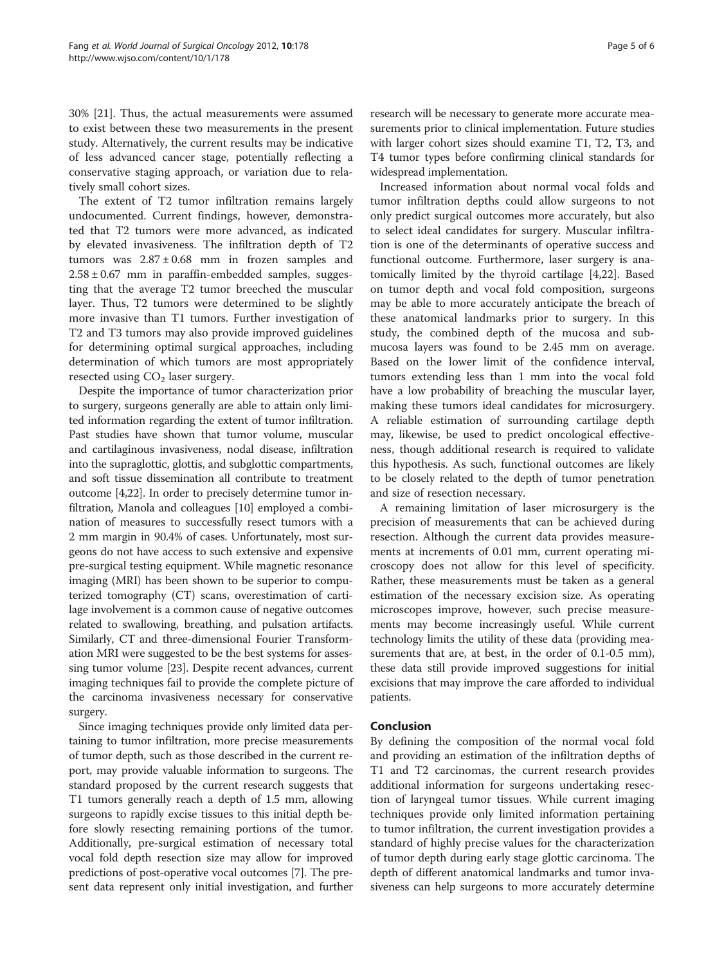30% [\[21\]](#page-5-0). Thus, the actual measurements were assumed to exist between these two measurements in the present study. Alternatively, the current results may be indicative of less advanced cancer stage, potentially reflecting a conservative staging approach, or variation due to relatively small cohort sizes.

The extent of T2 tumor infiltration remains largely undocumented. Current findings, however, demonstrated that T2 tumors were more advanced, as indicated by elevated invasiveness. The infiltration depth of T2 tumors was  $2.87 \pm 0.68$  mm in frozen samples and  $2.58 \pm 0.67$  mm in paraffin-embedded samples, suggesting that the average T2 tumor breeched the muscular layer. Thus, T2 tumors were determined to be slightly more invasive than T1 tumors. Further investigation of T2 and T3 tumors may also provide improved guidelines for determining optimal surgical approaches, including determination of which tumors are most appropriately resected using  $CO<sub>2</sub>$  laser surgery.

Despite the importance of tumor characterization prior to surgery, surgeons generally are able to attain only limited information regarding the extent of tumor infiltration. Past studies have shown that tumor volume, muscular and cartilaginous invasiveness, nodal disease, infiltration into the supraglottic, glottis, and subglottic compartments, and soft tissue dissemination all contribute to treatment outcome [[4,22](#page-5-0)]. In order to precisely determine tumor infiltration, Manola and colleagues [\[10\]](#page-5-0) employed a combination of measures to successfully resect tumors with a 2 mm margin in 90.4% of cases. Unfortunately, most surgeons do not have access to such extensive and expensive pre-surgical testing equipment. While magnetic resonance imaging (MRI) has been shown to be superior to computerized tomography (CT) scans, overestimation of cartilage involvement is a common cause of negative outcomes related to swallowing, breathing, and pulsation artifacts. Similarly, CT and three-dimensional Fourier Transformation MRI were suggested to be the best systems for assessing tumor volume [\[23\]](#page-5-0). Despite recent advances, current imaging techniques fail to provide the complete picture of the carcinoma invasiveness necessary for conservative surgery.

Since imaging techniques provide only limited data pertaining to tumor infiltration, more precise measurements of tumor depth, such as those described in the current report, may provide valuable information to surgeons. The standard proposed by the current research suggests that T1 tumors generally reach a depth of 1.5 mm, allowing surgeons to rapidly excise tissues to this initial depth before slowly resecting remaining portions of the tumor. Additionally, pre-surgical estimation of necessary total vocal fold depth resection size may allow for improved predictions of post-operative vocal outcomes [\[7](#page-5-0)]. The present data represent only initial investigation, and further research will be necessary to generate more accurate mea-

surements prior to clinical implementation. Future studies with larger cohort sizes should examine T1, T2, T3, and T4 tumor types before confirming clinical standards for widespread implementation.

Increased information about normal vocal folds and tumor infiltration depths could allow surgeons to not only predict surgical outcomes more accurately, but also to select ideal candidates for surgery. Muscular infiltration is one of the determinants of operative success and functional outcome. Furthermore, laser surgery is anatomically limited by the thyroid cartilage [[4,22\]](#page-5-0). Based on tumor depth and vocal fold composition, surgeons may be able to more accurately anticipate the breach of these anatomical landmarks prior to surgery. In this study, the combined depth of the mucosa and submucosa layers was found to be 2.45 mm on average. Based on the lower limit of the confidence interval, tumors extending less than 1 mm into the vocal fold have a low probability of breaching the muscular layer, making these tumors ideal candidates for microsurgery. A reliable estimation of surrounding cartilage depth may, likewise, be used to predict oncological effectiveness, though additional research is required to validate this hypothesis. As such, functional outcomes are likely to be closely related to the depth of tumor penetration and size of resection necessary.

A remaining limitation of laser microsurgery is the precision of measurements that can be achieved during resection. Although the current data provides measurements at increments of 0.01 mm, current operating microscopy does not allow for this level of specificity. Rather, these measurements must be taken as a general estimation of the necessary excision size. As operating microscopes improve, however, such precise measurements may become increasingly useful. While current technology limits the utility of these data (providing measurements that are, at best, in the order of 0.1-0.5 mm), these data still provide improved suggestions for initial excisions that may improve the care afforded to individual patients.

# Conclusion

By defining the composition of the normal vocal fold and providing an estimation of the infiltration depths of T1 and T2 carcinomas, the current research provides additional information for surgeons undertaking resection of laryngeal tumor tissues. While current imaging techniques provide only limited information pertaining to tumor infiltration, the current investigation provides a standard of highly precise values for the characterization of tumor depth during early stage glottic carcinoma. The depth of different anatomical landmarks and tumor invasiveness can help surgeons to more accurately determine